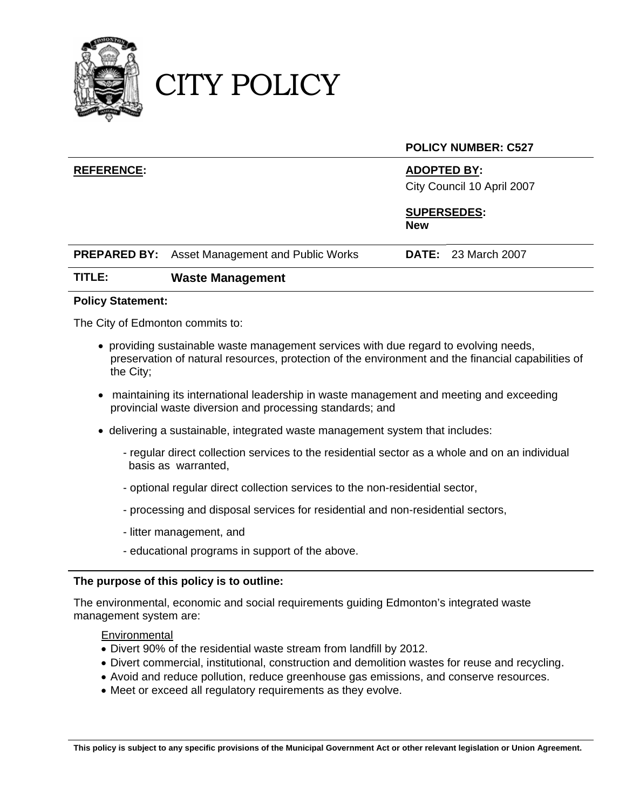

## CITY POLICY

#### **POLICY NUMBER: C527**

### **REFERENCE: ADOPTED BY:**

City Council 10 April 2007

#### **SUPERSEDES: New**

| <b>PREPARED BY:</b> Asset Management and Public Works | <b>DATE:</b> 23 March 2007 |  |
|-------------------------------------------------------|----------------------------|--|
|                                                       |                            |  |

### **TITLE: Waste Management**

#### **Policy Statement:**

The City of Edmonton commits to:

- providing sustainable waste management services with due regard to evolving needs, preservation of natural resources, protection of the environment and the financial capabilities of the City;
- maintaining its international leadership in waste management and meeting and exceeding provincial waste diversion and processing standards; and
- delivering a sustainable, integrated waste management system that includes:
	- regular direct collection services to the residential sector as a whole and on an individual basis as warranted,
	- optional regular direct collection services to the non-residential sector,
	- processing and disposal services for residential and non-residential sectors,
	- litter management, and
	- educational programs in support of the above.

#### **The purpose of this policy is to outline:**

The environmental, economic and social requirements guiding Edmonton's integrated waste management system are:

#### **Environmental**

- Divert 90% of the residential waste stream from landfill by 2012.
- Divert commercial, institutional, construction and demolition wastes for reuse and recycling.
- Avoid and reduce pollution, reduce greenhouse gas emissions, and conserve resources.
- Meet or exceed all regulatory requirements as they evolve.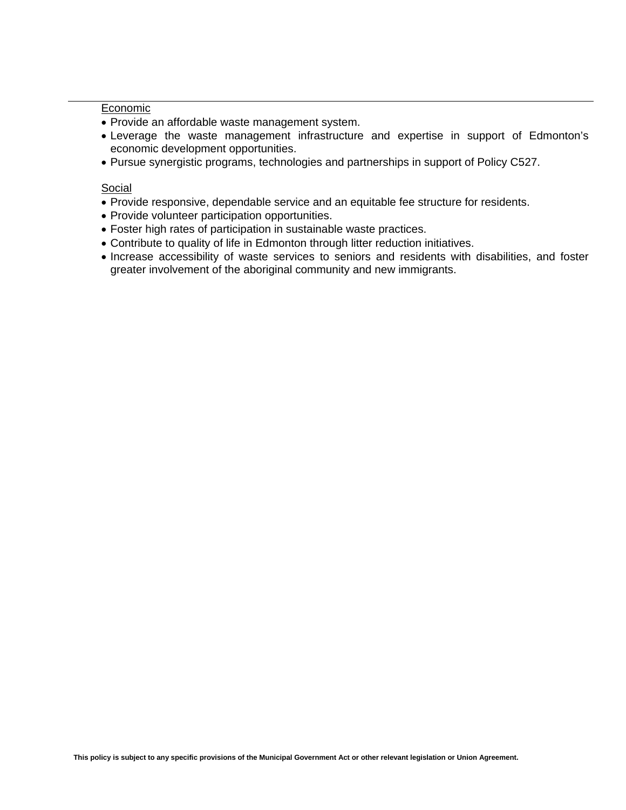#### Economic

- Provide an affordable waste management system.
- Leverage the waste management infrastructure and expertise in support of Edmonton's economic development opportunities.
- Pursue synergistic programs, technologies and partnerships in support of Policy C527.

#### Social

- Provide responsive, dependable service and an equitable fee structure for residents.
- Provide volunteer participation opportunities.
- Foster high rates of participation in sustainable waste practices.
- Contribute to quality of life in Edmonton through litter reduction initiatives.
- Increase accessibility of waste services to seniors and residents with disabilities, and foster greater involvement of the aboriginal community and new immigrants.